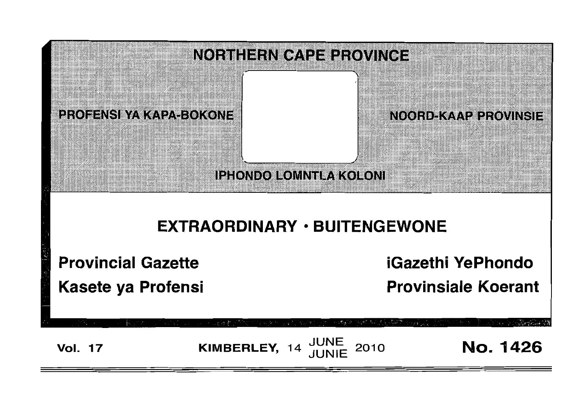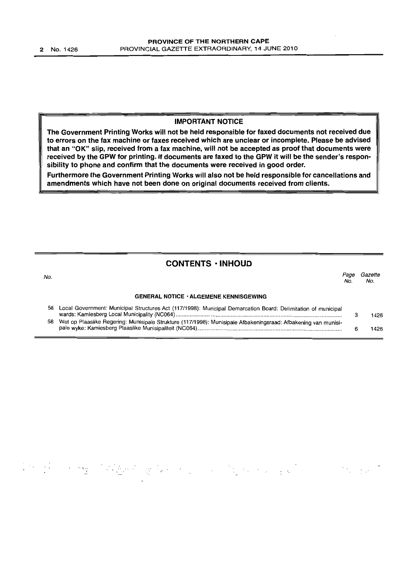#### IMPORTANT NOTICE

The Government Printing Works will not be held responsible for faxed documents not received due to errors on the fax machine or faxes received which are unclear or incomplete, Please be advised that an "OK" slip, received from a fax machine, will not be accepted as proof that documents were received by the GPW for printing. If documents are faxed to the GPW it will be the sender's responsibility to phone and confirm that the documents were received in good order.

Furthermore the Government Printing Works will also not be held responsible for cancellations and amendments which have not been done on original documents received from clients.

## CONTENTS • INHOUD

| No. |                                                                                                                | No. | Gazette<br>No. |
|-----|----------------------------------------------------------------------------------------------------------------|-----|----------------|
|     | <b>GENERAL NOTICE · ALGEMENE KENNISGEWING</b>                                                                  |     |                |
| 58  | Local Government: Municipal Structures Act (117/1998): Municipal Demarcation Board: Delimitation of municipal  |     | 1426           |
| 58  | Wet op Plaaslike Regering: Munisipale Strukture (117/1998): Munisipale Afbakeningsraad: Afbakening van munisi- |     | 1426           |

# 的第三人称单数 网络大小女子大小小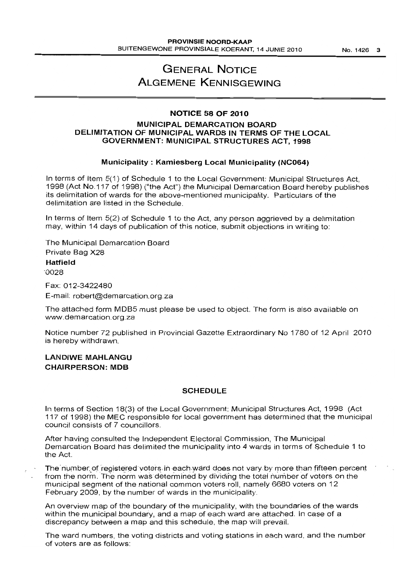## **GENERAL NOTICE ALGEMENE KENNISGEWING**

#### **NOTICE 58 OF 2010**

#### **MUNICIPAL DEMARCATION BOARD DELIMITATION OF MUNICIPAL WARDS IN TERMS OF THE LOCAL GOVERNMENT: MUNICIPAL STRUCTURES ACT, 1998**

#### **Municipality: Kamiesberg Local Municipality (NC064)**

In terms of Item 5(1) of Schedule 1 to the Local Government: Municipal Structures Act, 1998 (Act NO.117 of 1998) ("the Act") the Municipal Demarcation Board hereby publishes its delimitation of wards for the above-mentioned municipality. Particulars of the delimitation are listed in the Schedule.

In terms of Item 5(2) of Schedule 1 to the Act, any person aggrieved by a delimitation may, within 14 days of publication of this notice, submit objections in writing to:

The Municipal Demarcation Board Private Bag X28

#### **Hatfield**

'0028

Fax: 012-3422480

E-mail: robert@demarcation.org.za

The attached form MOBS must please be used to object. The form is also available on www.demarcation.org.za

Notice number 72 published in Provincial Gazette Extraordinary No 1780 of 12 April 2010 is hereby withdrawn.

## **LANDIWE MAHLANGU CHAIRPERSON: MOB**

#### **SCHEDULE**

In terms of Section 18(3) of the Local Government: Municipal Structures Act, 1998 (Act 117 of 1998) the MEC responsible for local government has determined that the municipal council consists of 7 councillors.

After having consulted the Independent Electoral Commission, The Municipal Demarcation Board has delimited the municipality into 4 wards in terms of Schedule 1 to the Act.

The number of registered voters in each ward does not vary by more than fifteen percent from the norm. The norm was determined by dividing the total number of voters on the municipal segment of the national common voters roll, namely 6680 voters on 12 February 2009, by the number of wards in the municipality.

An overview map of the boundary of the municipality, with the boundaries of the wards within the municipal boundary, and a map of each ward are attached. In case of a discrepancy between a map and this schedule, the map will prevail.

The ward numbers, the voting districts and voting stations in each ward, and the number of voters are as follows: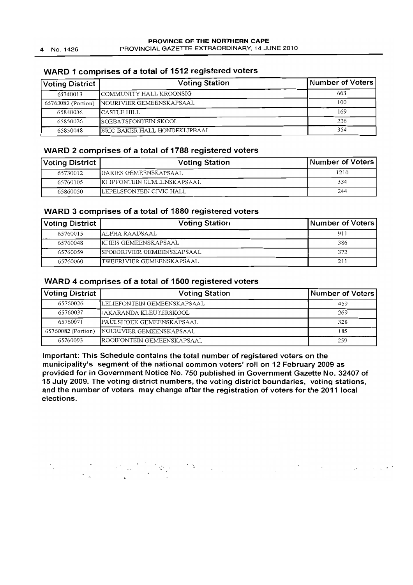## WARD 1 comprises of a total of 1512 registered voters

| <b>Voting District</b> | <b>Voting Station</b>         | Number of Voters |
|------------------------|-------------------------------|------------------|
| 65740013               | COMMUNITY HALL KROONSIG       | 663              |
| 65760082 (Portion)     | NOURIVIER GEMEENSKAPSAAL      | 100              |
| 65840036               | ICASTLE HILL                  | 169              |
| 65850026               | <b>ISOEBATSFONTEIN SKOOL</b>  | 226              |
| 65850048               | ERIC BAKER HALL HONDEKLIPBAAI | 354              |

## WARD 2 comprises of a total of 1788 registered voters

| Voting District | <b>Voting Station</b>       | Number of Voters |
|-----------------|-----------------------------|------------------|
| 65730012        | IGARIES GEMEENSKAPSAAL      | 1210             |
| 65760105        | IKLIPFONTEIN GEMEENSKAPSAAL | 334              |
| 65860050        | LEPELSFONTEIN CIVIC HALL    | 244              |

## WARD 3 comprises of a total of 1880 registered voters

| <b>Voting District</b> | <b>Voting Station</b>      | Number of Voters |
|------------------------|----------------------------|------------------|
| 65760015               | IALPHA RAADSAAL            | 911              |
| 65760048               | KITEIS GEMEENSKAPSAAL      | 386              |
| 65760059               | SPOEGRIVIER GEMEENSKAPSAAL | 372              |
| 65760060               | TWEERIVIER GEMEENSKAPSAAL  | 211              |

## WARD 4 comprises of a total of 1500 registered voters

| <b>Voting District</b> | <b>Voting Station</b>          | Number of Voters |
|------------------------|--------------------------------|------------------|
| 65760026               | LELIEFONTEIN GEMEENSKAPSAAL    | 459              |
| 65760037               | <b>IJAKARANDA KLEUTERSKOOL</b> | 269              |
| 65760071               | PAULSHOEK GEMEENSKAPSAAL       | 328              |
| 65760082 (Portion)     | NOURIVIER GEMEENSKAPSAAL       | 185              |
| 65760093               | ROOIFONTEIN GEMEENSKAPSAAL     | 259              |

Important: This Schedule contains the total number of registered voters on the municipality's segment of the national common voters' roll on 12 February 2009 as provided for in Government Notice No. 750 published in Government Gazette No. 32407 of 15 July 2009. The voting district numbers, the voting district boundaries, voting stations, and the number of voters may change after the registration of voters for the 2011 local elections.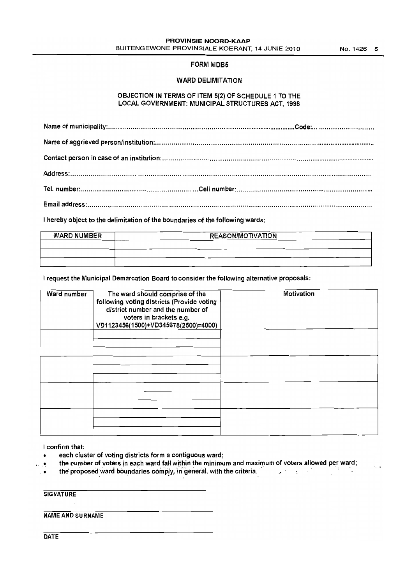$\epsilon_{\rm c}$  is

#### FORM MDB5

#### WARD DELIMITATION

#### OBJECTION IN TERMS OF ITEM 5(2) OF SCHEDULE 1 TO THE LOCAL GOVERNMENT: MUNICIPAL STRUCTURES ACT, 1998

I hereby object to the delimitation of the boundaries of the following wards:

| <b>WARD NUMBER</b> | <b>REASON/MOTIVATION</b> |
|--------------------|--------------------------|
|                    |                          |
|                    |                          |
|                    |                          |

I request the Municipal Demarcation Board to consider the following alternative proposals:

| Ward number | The ward should comprise of the<br>following voting districts (Provide voting<br>district number and the number of<br>voters in brackets e.g.<br>VD1123456(1500)+VD345678(2500)=4000) | Motivation |
|-------------|---------------------------------------------------------------------------------------------------------------------------------------------------------------------------------------|------------|
|             |                                                                                                                                                                                       |            |
|             |                                                                                                                                                                                       |            |
|             |                                                                                                                                                                                       |            |
|             |                                                                                                                                                                                       |            |

I confirm that:

- each cluster of voting districts form a contiguous ward;
- . the number of voters in each ward fall within the minimum and maximum of voters allowed per ward;

• the proposed ward boundaries comply, in general, with the criteria.

**SIGNATURE** 

NAME AND SURNAME

**DATE**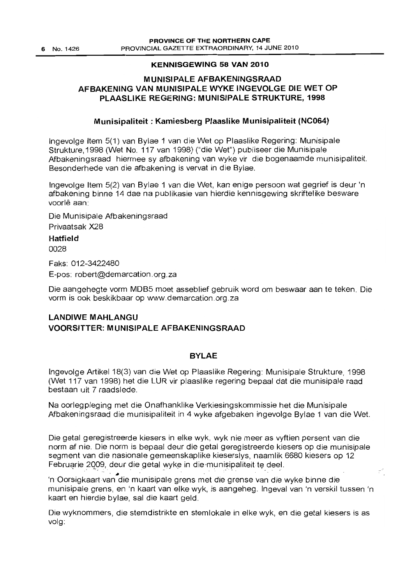## **KENNISGEWING 58 VAN 2010**

## **MUNISIPALE AFBAKENINGSRAAD AFBAKENING VAN MUNISIPALE WYKE INGEVOLGE DIE WET OP PLAASLIKE REGERING: MUNISIPALE STRUKTURE, 1998**

## **Munisipaliteit : Kamiesberg Plaaslike Munisipaliteit (NC064)**

Ingevolge Item 5(1) van Bylae 1 van die Wet op Plaaslike Regering: Munisipale Strukture, 1998 (Wet No. 117 van 1998) ("die Wet") publiseer die Munisipale Afbakeningsraad hiermee sy afbakening van wyke vir die bogenaamde munisipaliteit. Besonderhede van die afbakening is vervat in die Bylae.

Ingevolge Item 5(2) van Bylae 1 van die Wet, kan enige persoon wat gegrief is deur 'n afbakening binne 14 dae na publikasie van hierdie kennisgewing skriftelike besware voorle aan:

Die Munisipale Afbakeningsraad Privaatsak X28

**Hatfield**  0028

Faks: 012-3422480 E-pos: robert@demarcation.org.za

Die aangehegte vorm MOBS moet asseblief gebruik word om beswaar aan te teken. Die vorm is ook beskikbaar op www.demarcation.org.za

## **LANDIWE MAHLANGU VOORSITTER: M UNISIPALE AFBAKENINGSRAAD**

## **BYLAE**

Ingevolge Artikel 18(3) van die Wet op Plaaslike Regering: Munisipale Strukture, 1998 (Wet 117 van 1998) het die LUR vir plaaslike regering bepaal dat die munisipale raad bestaan uit 7 raadslede.

Na oorlegpleging met die Onafhanklike Verkiesingskommissie het die Munisipale Afbakeningsraad die munisipaliteit in 4 wyke afgebaken ingevolge Bylae 1 van die Wet.

Die getal geregistreerde kiesers in elke wyk, wyk nie meer as vyftien persent van die norm af nie. Die norm is bepaal deur die getal geregistreerde kiesers op die munisipale segment van die nasionale gemeenskaplike kieserslys, naamlik 6680 kiesers op 12 Februarie 2009, deur die getal wyke in die munisipaliteit te deel.

 $\bullet$ 'nOorsigkaart van die munisipale grens met die grense van die wyke binne die munisipale grens, en 'n kaart van elke wyk, is aangeheg. Ingeval van 'n verskil tussen 'n kaart en hierdie bylae, sal die kaart geld.

Die wyknommers, die stemdistrikte en stemlokale in elke wyk, en die getal kiesers is as volg.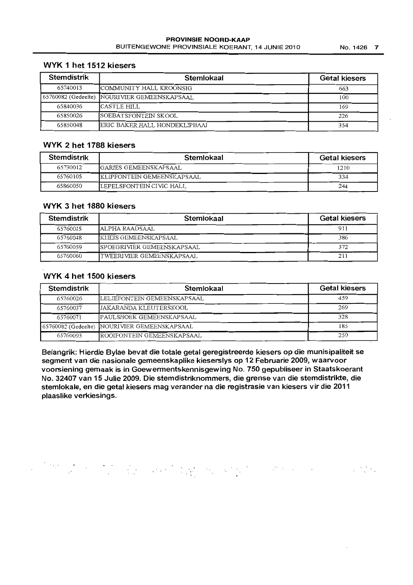| Stemdistrik | Stemlokaal                                     | <b>Getal kiesers</b> |
|-------------|------------------------------------------------|----------------------|
| 65740013    | COMMUNITY HALL KROONSIG                        | 663                  |
|             | [65760082 (Gedeelte) [NOURIVIER GEMEENSKAPSAAL | 100                  |
| 65840036    | ICASTLE HILL                                   | 169                  |
| 65850026    | SOEBATSFONTEIN SKOOL                           | 226                  |
| 65850048    | <b>IERIC BAKER HALL HONDEKLIPBAAI</b>          | 354                  |

## WYK 2 het 1788 kiesers

| Stemdistrik | Stemlokaal                       | <b>Getal kiesers</b> |
|-------------|----------------------------------|----------------------|
| 65730012    | IGARIES GEMEENSKAPSAAL           | 1210                 |
| 65760105    | IKLIPFONTEIN GEMEENSKAPSAAL      | 334                  |
| 65860050    | <b>ILEPELSFONTEIN CIVIC HALL</b> | 244                  |

## WYK 3 het 1880 kiesers

| Stemdistrik | Stemlokaal                  | <b>Getal kiesers</b> |
|-------------|-----------------------------|----------------------|
| 65760015    | ALPHA RAADSAAL              | 911                  |
| 65760048    | KIIEIS GEMEENSKAPSAAL       | 386                  |
| 65760059    | ISPOEGRIVIER GEMEENSKAPSAAL | 372                  |
| 65760060    | ITWEERIVIER GEMEENSKAPSAAL  | 211                  |

## WYK 4 het 1500 kiesers

| <b>Stemdistrik</b> | Stemlokaal                                   | <b>Getal kiesers</b> |
|--------------------|----------------------------------------------|----------------------|
| 65760026           | LELIEFONTEIN GEMEENSKAPSAAL                  | 459                  |
| 65760037           | JAKARANDA KLEUTERSKOOL                       | 269                  |
| 65760071           | <b>PAULSHOEK GEMEENSKAPSAAL</b>              | 328                  |
|                    | 65760082 (Gedeelte) NOURIVIER GEMEENSKAPSAAL | 185                  |
| 65760093           | ROOIFONTEIN GEMEENSKAPSAAL                   | 259                  |

Belangrik: Hierdie Bylae bevat die totale getal geregistreerde kiesers op die munisipaliteit se segment van die nasionale gemeenskaplike kieserslys op 12 Februarie 2009, waarvoor voorsiening gemaak is in Goewermentskennisgewing No. 750 gepubliseer in Staatskoerant No. 32407 van 15 Julie 2009. Die stemdistriknommers, die grense van die stemdistrikte, die stemlokale, en die getal kiesers mag verander na die registrasie van kiesers vir die 2011 plaaslike verkiesings.

 $\ddots$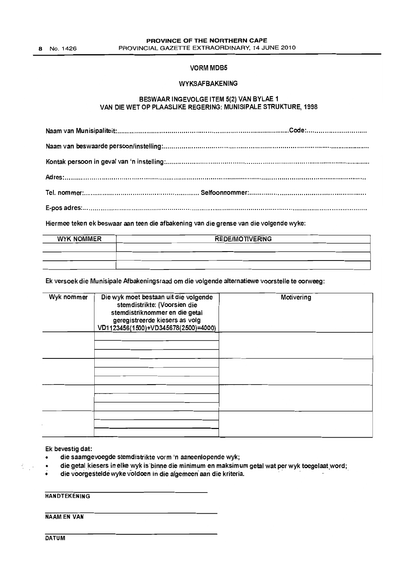8 No. 1426

#### **VORM MDB5**

#### WYKSAFBAKENING

#### BESWAAR INGEVOLGE ITEM 5(2) VAN BYLAE 1 VAN DIE WET OP PLAASLIKE REGERING: MUNISIPALE STRUKTURE, 1998

Hiermee teken ek beswaar aan teen die afbakening van die grense van die volgende wyke:

| <b>WYK NOMMER</b> | REDE/MOTIVERING |  |
|-------------------|-----------------|--|
|                   |                 |  |
|                   |                 |  |
|                   |                 |  |

Ek versoek die Munisipale Afbakeningsraad om die volgende alternatiewe voorstelle te oorweeg:

| Wyk nommer | Die wyk moet bestaan uit die volgende<br>stemdistrikte: (Voorsien die<br>stemdistriknommer en die getal<br>geregistreerde kiesers as volg<br>VD1123456(1500)+VD345678(2500)=4000) | Motivering |
|------------|-----------------------------------------------------------------------------------------------------------------------------------------------------------------------------------|------------|
|            |                                                                                                                                                                                   |            |
|            |                                                                                                                                                                                   |            |
|            |                                                                                                                                                                                   |            |
|            |                                                                                                                                                                                   |            |

Ek bevestig dat:

- die saamgevoegde stemdistrikte vorm 'n aaneenlopende wyk;
- die getal kiesers in elke wyk is binne die minimum en maksimum getal wat per wyk toegelaat word; Ek bevestig dat:<br>• die saamgevoegde stemdistrikte vorm 'n aaneenlopende wyk;<br>• die getal kiesers in elke wyk is binne die minimum en maksimum getal wat per wyk toegelaat word;<br>• die voorgestelde wyke vol
- 

**HANDTEKENING** 

NAAM EN VAN

**DATUM**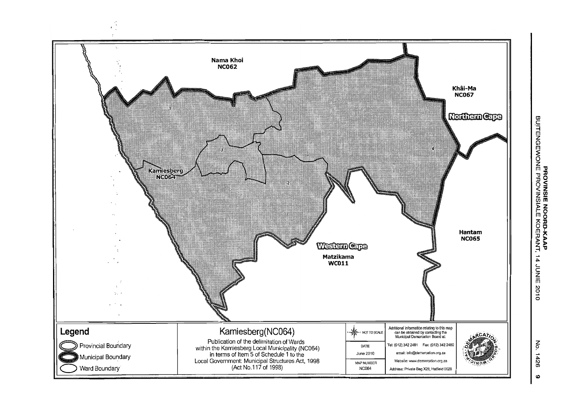

No. 1426

 $\bullet$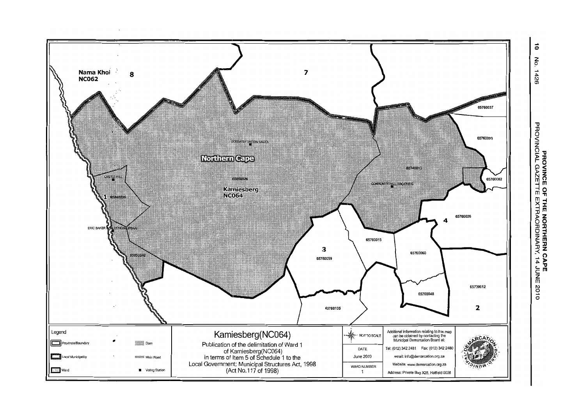

**PROVINCE OF THE NORTHERN CAPE<br>PROVINCIAL GAZETTE EXTRAORDINARY, 14 JUNE 2010** 

 $\vec{0}$ Νó.  $1426$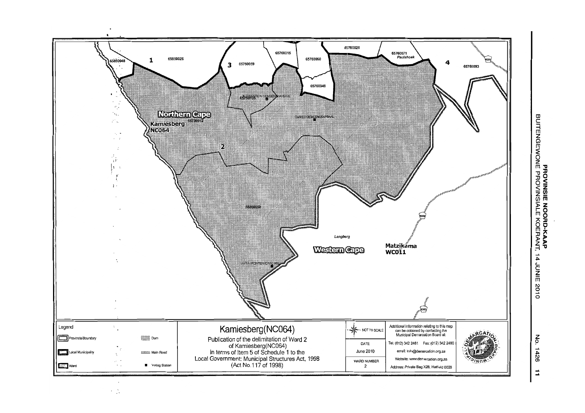

 $\frac{5}{5}$ 1426  $\vec{u}$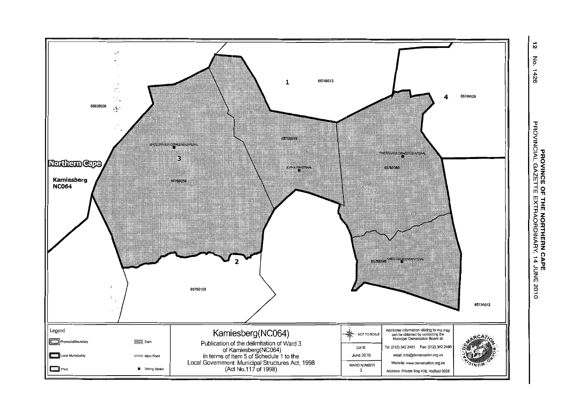